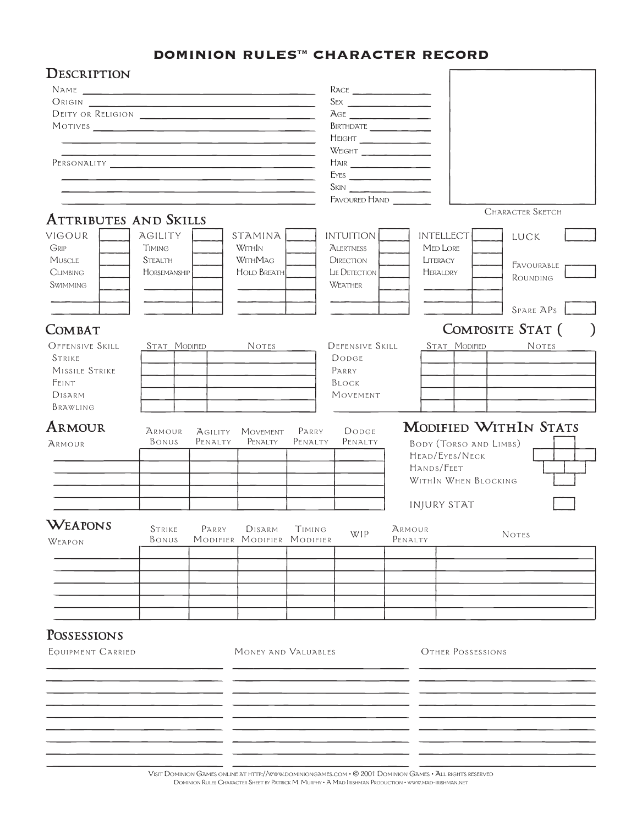## DOMINION RULES™ CHARACTER RECORD

|                                        |                 |                    |                            |                  | RACE                                                                                                                |                                                                                                                |  |  |  |  |  |  |  |  |                                                                                                                                                                                                                                                                                                                                                     |  |
|----------------------------------------|-----------------|--------------------|----------------------------|------------------|---------------------------------------------------------------------------------------------------------------------|----------------------------------------------------------------------------------------------------------------|--|--|--|--|--|--|--|--|-----------------------------------------------------------------------------------------------------------------------------------------------------------------------------------------------------------------------------------------------------------------------------------------------------------------------------------------------------|--|
| ORIGIN<br>DEITY OR RELIGION<br>MOTIVES |                 |                    |                            |                  | $\overline{A}GE$<br>BIRTHDATE                                                                                       |                                                                                                                |  |  |  |  |  |  |  |  |                                                                                                                                                                                                                                                                                                                                                     |  |
|                                        |                 |                    |                            |                  |                                                                                                                     |                                                                                                                |  |  |  |  |  |  |  |  | HEIGHT                                                                                                                                                                                                                                                                                                                                              |  |
|                                        |                 |                    |                            |                  |                                                                                                                     |                                                                                                                |  |  |  |  |  |  |  |  | $\begin{picture}(180,10) \put(0,0){\line(1,0){10}} \put(10,0){\line(1,0){10}} \put(10,0){\line(1,0){10}} \put(10,0){\line(1,0){10}} \put(10,0){\line(1,0){10}} \put(10,0){\line(1,0){10}} \put(10,0){\line(1,0){10}} \put(10,0){\line(1,0){10}} \put(10,0){\line(1,0){10}} \put(10,0){\line(1,0){10}} \put(10,0){\line(1,0){10}} \put(10,0){\line($ |  |
|                                        |                 |                    |                            |                  | $\begin{tabular}{ c c c } \hline \quad \quad \quad & \quad \quad \quad & \quad \quad \quad \\ \hline \end{tabular}$ |                                                                                                                |  |  |  |  |  |  |  |  |                                                                                                                                                                                                                                                                                                                                                     |  |
|                                        |                 |                    |                            |                  | EYES                                                                                                                |                                                                                                                |  |  |  |  |  |  |  |  |                                                                                                                                                                                                                                                                                                                                                     |  |
|                                        |                 |                    |                            |                  | SKN                                                                                                                 |                                                                                                                |  |  |  |  |  |  |  |  |                                                                                                                                                                                                                                                                                                                                                     |  |
|                                        |                 |                    |                            |                  | FAVOURED HAND                                                                                                       |                                                                                                                |  |  |  |  |  |  |  |  |                                                                                                                                                                                                                                                                                                                                                     |  |
|                                        |                 |                    |                            |                  |                                                                                                                     | <b>CHARACTER SKETCH</b>                                                                                        |  |  |  |  |  |  |  |  |                                                                                                                                                                                                                                                                                                                                                     |  |
| <b>ATTRIBUTES AND SKILLS</b>           |                 |                    |                            |                  |                                                                                                                     |                                                                                                                |  |  |  |  |  |  |  |  |                                                                                                                                                                                                                                                                                                                                                     |  |
| VIGOUR                                 | AGILITY         |                    | STAMINA                    |                  | <b>INTUITION</b>                                                                                                    | <b>INTELLECT</b><br>LUCK                                                                                       |  |  |  |  |  |  |  |  |                                                                                                                                                                                                                                                                                                                                                     |  |
| GRIP                                   | <b>TIMING</b>   |                    | WithIn                     |                  | ALERTNESS                                                                                                           | <b>MED LORE</b>                                                                                                |  |  |  |  |  |  |  |  |                                                                                                                                                                                                                                                                                                                                                     |  |
| Muscle                                 | <b>STEALTH</b>  |                    | WITHMAG                    |                  | <b>DIRECTION</b>                                                                                                    | LITERACY<br>FAVOURABLE                                                                                         |  |  |  |  |  |  |  |  |                                                                                                                                                                                                                                                                                                                                                     |  |
| <b>CLIMBING</b>                        | HORSEMANSHIP    |                    | <b>HOLD BREATH</b>         |                  | LIE DETECTION                                                                                                       | <b>HERALDRY</b><br>ROUNDING                                                                                    |  |  |  |  |  |  |  |  |                                                                                                                                                                                                                                                                                                                                                     |  |
| <b>SWIMMING</b>                        |                 |                    |                            |                  | <b>WEATHER</b>                                                                                                      |                                                                                                                |  |  |  |  |  |  |  |  |                                                                                                                                                                                                                                                                                                                                                     |  |
|                                        |                 |                    |                            |                  |                                                                                                                     |                                                                                                                |  |  |  |  |  |  |  |  |                                                                                                                                                                                                                                                                                                                                                     |  |
|                                        |                 |                    |                            |                  |                                                                                                                     | SPARE APS                                                                                                      |  |  |  |  |  |  |  |  |                                                                                                                                                                                                                                                                                                                                                     |  |
| COMBAT                                 |                 |                    |                            |                  |                                                                                                                     | COMPOSITE STAT (                                                                                               |  |  |  |  |  |  |  |  |                                                                                                                                                                                                                                                                                                                                                     |  |
|                                        |                 |                    |                            |                  |                                                                                                                     |                                                                                                                |  |  |  |  |  |  |  |  |                                                                                                                                                                                                                                                                                                                                                     |  |
| OFFENSIVE SKILL                        | STAT MODIFIED   |                    | Notes                      |                  | DEFENSIVE SKILL                                                                                                     | STAT MODIFIED<br>Notes                                                                                         |  |  |  |  |  |  |  |  |                                                                                                                                                                                                                                                                                                                                                     |  |
| STRIKE                                 |                 |                    |                            |                  | DODGE                                                                                                               |                                                                                                                |  |  |  |  |  |  |  |  |                                                                                                                                                                                                                                                                                                                                                     |  |
| MISSILE STRIKE                         |                 |                    |                            |                  | PARRY                                                                                                               |                                                                                                                |  |  |  |  |  |  |  |  |                                                                                                                                                                                                                                                                                                                                                     |  |
| FEINT<br>DISARM                        |                 |                    |                            |                  | BLOCK                                                                                                               |                                                                                                                |  |  |  |  |  |  |  |  |                                                                                                                                                                                                                                                                                                                                                     |  |
|                                        |                 |                    |                            |                  | MOVEMENT                                                                                                            |                                                                                                                |  |  |  |  |  |  |  |  |                                                                                                                                                                                                                                                                                                                                                     |  |
| BRAWLING                               |                 |                    |                            |                  |                                                                                                                     |                                                                                                                |  |  |  |  |  |  |  |  |                                                                                                                                                                                                                                                                                                                                                     |  |
| Armour<br>ARMOUR                       | ARMOUR<br>BONUS | AGILITY<br>PENALTY | MOVEMENT<br>PENALTY        | PARRY<br>PENALTY | DODGE<br>PENALTY                                                                                                    | <b>MODIFIED WITHIN STATS</b><br>BODY (TORSO AND LIMBS)<br>HEAD/EYES/NECK<br>HANDS/FEET<br>WITHIN WHEN BLOCKING |  |  |  |  |  |  |  |  |                                                                                                                                                                                                                                                                                                                                                     |  |
|                                        |                 |                    |                            |                  |                                                                                                                     | INJURY STAT                                                                                                    |  |  |  |  |  |  |  |  |                                                                                                                                                                                                                                                                                                                                                     |  |
| WEAPONS                                | STRIKE          | Parry              | DISARM                     | TIMING           | <b>WIP</b>                                                                                                          | ARMOUR<br>NOTES                                                                                                |  |  |  |  |  |  |  |  |                                                                                                                                                                                                                                                                                                                                                     |  |
| WEAPON                                 | BONUS           |                    | MODIFIER MODIFIER MODIFIER |                  |                                                                                                                     | PENALTY                                                                                                        |  |  |  |  |  |  |  |  |                                                                                                                                                                                                                                                                                                                                                     |  |
|                                        |                 |                    |                            |                  |                                                                                                                     |                                                                                                                |  |  |  |  |  |  |  |  |                                                                                                                                                                                                                                                                                                                                                     |  |
|                                        |                 |                    |                            |                  |                                                                                                                     |                                                                                                                |  |  |  |  |  |  |  |  |                                                                                                                                                                                                                                                                                                                                                     |  |
|                                        |                 |                    |                            |                  |                                                                                                                     |                                                                                                                |  |  |  |  |  |  |  |  |                                                                                                                                                                                                                                                                                                                                                     |  |
|                                        |                 |                    |                            |                  |                                                                                                                     |                                                                                                                |  |  |  |  |  |  |  |  |                                                                                                                                                                                                                                                                                                                                                     |  |
|                                        |                 |                    |                            |                  |                                                                                                                     |                                                                                                                |  |  |  |  |  |  |  |  |                                                                                                                                                                                                                                                                                                                                                     |  |
|                                        |                 |                    |                            |                  |                                                                                                                     |                                                                                                                |  |  |  |  |  |  |  |  |                                                                                                                                                                                                                                                                                                                                                     |  |
|                                        |                 |                    |                            |                  |                                                                                                                     |                                                                                                                |  |  |  |  |  |  |  |  |                                                                                                                                                                                                                                                                                                                                                     |  |
|                                        |                 |                    |                            |                  |                                                                                                                     |                                                                                                                |  |  |  |  |  |  |  |  |                                                                                                                                                                                                                                                                                                                                                     |  |
| POSSESSIONS                            |                 |                    |                            |                  |                                                                                                                     |                                                                                                                |  |  |  |  |  |  |  |  |                                                                                                                                                                                                                                                                                                                                                     |  |
| EQUIPMENT CARRIED                      |                 |                    | MONEY AND VALUABLES        |                  |                                                                                                                     | <b>OTHER POSSESSIONS</b>                                                                                       |  |  |  |  |  |  |  |  |                                                                                                                                                                                                                                                                                                                                                     |  |
|                                        |                 |                    |                            |                  |                                                                                                                     |                                                                                                                |  |  |  |  |  |  |  |  |                                                                                                                                                                                                                                                                                                                                                     |  |
|                                        |                 |                    |                            |                  |                                                                                                                     |                                                                                                                |  |  |  |  |  |  |  |  |                                                                                                                                                                                                                                                                                                                                                     |  |
|                                        |                 |                    |                            |                  |                                                                                                                     |                                                                                                                |  |  |  |  |  |  |  |  |                                                                                                                                                                                                                                                                                                                                                     |  |
|                                        |                 |                    |                            |                  |                                                                                                                     |                                                                                                                |  |  |  |  |  |  |  |  |                                                                                                                                                                                                                                                                                                                                                     |  |
|                                        |                 |                    |                            |                  |                                                                                                                     |                                                                                                                |  |  |  |  |  |  |  |  |                                                                                                                                                                                                                                                                                                                                                     |  |
|                                        |                 |                    |                            |                  |                                                                                                                     |                                                                                                                |  |  |  |  |  |  |  |  |                                                                                                                                                                                                                                                                                                                                                     |  |
|                                        |                 |                    |                            |                  |                                                                                                                     |                                                                                                                |  |  |  |  |  |  |  |  |                                                                                                                                                                                                                                                                                                                                                     |  |

Visit Dominion Games online at http://www.dominiongames.com • © 2001 Dominion Games • All rights reserved Dominion Rules Character Sheet by Patrick M. Murphy • A Mad Irishman Production • www.mad-irishman.net